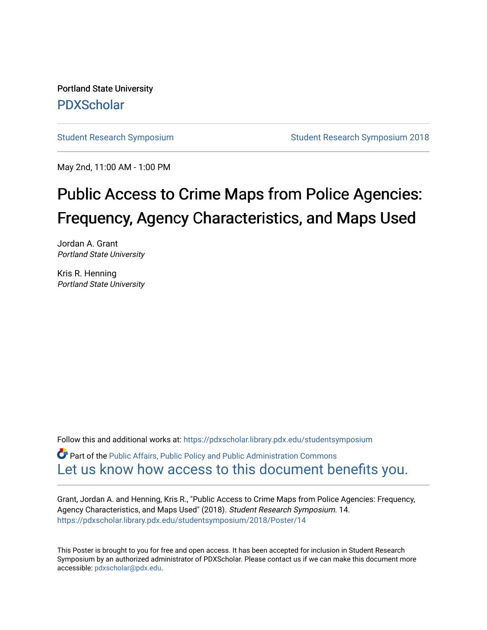Portland State University [PDXScholar](https://pdxscholar.library.pdx.edu/)

[Student Research Symposium](https://pdxscholar.library.pdx.edu/studentsymposium) [Student Research Symposium 2018](https://pdxscholar.library.pdx.edu/studentsymposium/2018) 

May 2nd, 11:00 AM - 1:00 PM

# Public Access to Crime Maps from Police Agencies: Frequency, Agency Characteristics, and Maps Used

Jordan A. Grant Portland State University

Kris R. Henning Portland State University

Follow this and additional works at: [https://pdxscholar.library.pdx.edu/studentsymposium](https://pdxscholar.library.pdx.edu/studentsymposium?utm_source=pdxscholar.library.pdx.edu%2Fstudentsymposium%2F2018%2FPoster%2F14&utm_medium=PDF&utm_campaign=PDFCoverPages) 

**C** Part of the Public Affairs, Public Policy and Public Administration Commons [Let us know how access to this document benefits you.](http://library.pdx.edu/services/pdxscholar-services/pdxscholar-feedback/) 

Grant, Jordan A. and Henning, Kris R., "Public Access to Crime Maps from Police Agencies: Frequency, Agency Characteristics, and Maps Used" (2018). Student Research Symposium. 14. [https://pdxscholar.library.pdx.edu/studentsymposium/2018/Poster/14](https://pdxscholar.library.pdx.edu/studentsymposium/2018/Poster/14?utm_source=pdxscholar.library.pdx.edu%2Fstudentsymposium%2F2018%2FPoster%2F14&utm_medium=PDF&utm_campaign=PDFCoverPages) 

This Poster is brought to you for free and open access. It has been accepted for inclusion in Student Research Symposium by an authorized administrator of PDXScholar. Please contact us if we can make this document more accessible: [pdxscholar@pdx.edu.](mailto:pdxscholar@pdx.edu)